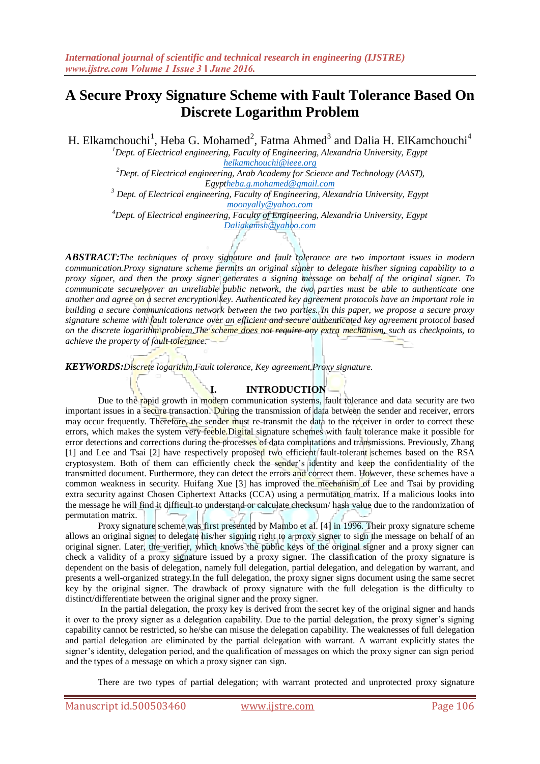# **A Secure Proxy Signature Scheme with Fault Tolerance Based On Discrete Logarithm Problem**

H. Elkamchouchi<sup>1</sup>, Heba G. Mohamed<sup>2</sup>, Fatma Ahmed<sup>3</sup> and Dalia H. ElKamchouchi<sup>4</sup>

*<sup>1</sup>Dept. of Electrical engineering, Faculty of Engineering, Alexandria University, Egypt [helkamchouchi@ieee.org](mailto:helkamchouchi@ieee.org) <sup>2</sup>Dept. of Electrical engineering, Arab Academy for Science and Technology (AAST),*

*Egy[ptheba.g.mohamed@gmail.com](mailto:heba.g.mohamed@gmail.com) <sup>3</sup> Dept. of Electrical engineering, Faculty of Engineering, Alexandria University, Egypt [moonyally@yahoo.com](mailto:moonyally@yahoo.com)*

*<sup>4</sup>Dept. of Electrical engineering, Faculty of Engineering, Alexandria University, Egypt [Daliakamsh@yahoo.com](mailto:Daliakamsh@yahoo.com)*

*ABSTRACT:The techniques of proxy signature and fault tolerance are two important issues in modern communication.Proxy signature scheme permits an original signer to delegate his/her signing capability to a proxy signer, and then the proxy signer generates a signing message on behalf of the original signer. To communicate securelyover an unreliable public network, the two parties must be able to authenticate one another and agree on a secret encryption key. Authenticated key agreement protocols have an important role in building a secure communications network between the two parties. In this paper, we propose a secure proxy signature scheme with fault tolerance over an efficient and secure authenticated key agreement protocol based on the discrete logarithm problem.The scheme does not require any extra mechanism, such as checkpoints, to achieve the property of fault tolerance.*

*KEYWORDS:Discrete logarithm,Fault tolerance, Key agreement,Proxy signature.*

# **I. INTRODUCTION**

Due to the rapid growth in modern communication systems, fault tolerance and data security are two important issues in a secure transaction. During the transmission of data between the sender and receiver, errors may occur frequently. Therefore, the sender must re-transmit the data to the receiver in order to correct these errors, which makes the system very feeble.Digital signature schemes with fault tolerance make it possible for error detections and corrections during the processes of data computations and transmissions. Previously, Zhang [1] and Lee and Tsai [2] have respectively proposed two efficient fault-tolerant schemes based on the RSA cryptosystem. Both of them can efficiently check the sender's identity and keep the confidentiality of the transmitted document. Furthermore, they can detect the errors and correct them. However, these schemes have a common weakness in security. Huifang Xue [3] has improved the mechanism of Lee and Tsai by providing extra security against Chosen Ciphertext Attacks (CCA) using a permutation matrix. If a malicious looks into the message he will find it difficult to understand or calculate checksum/ hash value due to the randomization of permutation matrix.

Proxy signature scheme was first presented by Mambo et al. [4] in 1996. Their proxy signature scheme allows an original signer to delegate his/her signing right to a proxy signer to sign the message on behalf of an original signer. Later, the verifier, which knows the public keys of the original signer and a proxy signer can check a validity of a proxy signature issued by a proxy signer. The classification of the proxy signature is dependent on the basis of delegation, namely full delegation, partial delegation, and delegation by warrant, and presents a well-organized strategy.In the full delegation, the proxy signer signs document using the same secret key by the original signer. The drawback of proxy signature with the full delegation is the difficulty to distinct/differentiate between the original signer and the proxy signer.

In the partial delegation, the proxy key is derived from the secret key of the original signer and hands it over to the proxy signer as a delegation capability. Due to the partial delegation, the proxy signer's signing capability cannot be restricted, so he/she can misuse the delegation capability. The weaknesses of full delegation and partial delegation are eliminated by the partial delegation with warrant. A warrant explicitly states the signer's identity, delegation period, and the qualification of messages on which the proxy signer can sign period and the types of a message on which a proxy signer can sign.

There are two types of partial delegation; with warrant protected and unprotected proxy signature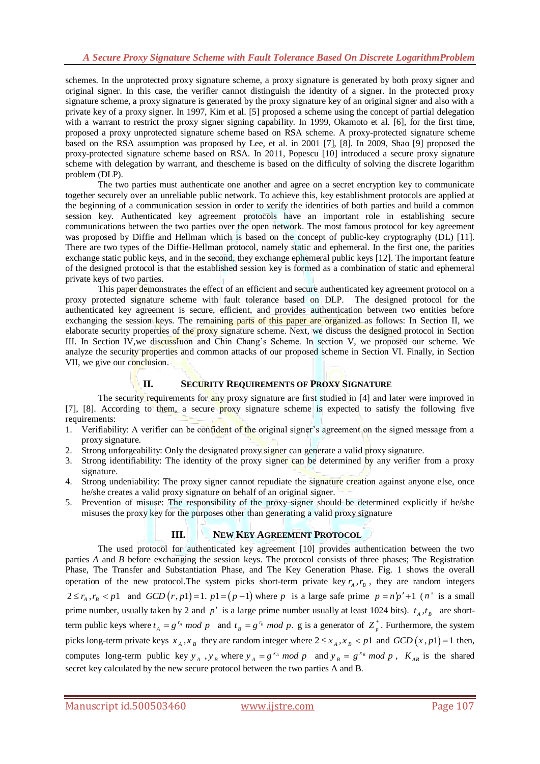schemes. In the unprotected proxy signature scheme, a proxy signature is generated by both proxy signer and original signer. In this case, the verifier cannot distinguish the identity of a signer. In the protected proxy signature scheme, a proxy signature is generated by the proxy signature key of an original signer and also with a private key of a proxy signer. In 1997, Kim et al. [5] proposed a scheme using the concept of partial delegation with a warrant to restrict the proxy signer signing capability. In 1999, Okamoto et al. [6], for the first time, proposed a proxy unprotected signature scheme based on RSA scheme. A proxy-protected signature scheme based on the RSA assumption was proposed by Lee, et al. in 2001 [7], [8]. In 2009, Shao [9] proposed the proxy-protected signature scheme based on RSA. In 2011, Popescu [10] introduced a secure proxy signature scheme with delegation by warrant, and thescheme is based on the difficulty of solving the discrete logarithm problem (DLP).

The two parties must authenticate one another and agree on a secret encryption key to communicate together securely over an unreliable public network. To achieve this, key establishment protocols are applied at the beginning of a communication session in order to verify the identities of both parties and build a common session key. Authenticated key agreement protocols have an important role in establishing secure communications between the two parties over the open network. The most famous protocol for key agreement was proposed by Diffie and Hellman which is based on the concept of public-key cryptography (DL) [11]. There are two types of the Diffie-Hellman protocol, namely static and ephemeral. In the first one, the parities exchange static public keys, and in the second, they exchange ephemeral public keys [12]. The important feature of the designed protocol is that the established session key is formed as a combination of static and ephemeral private keys of two parties.

This paper demonstrates the effect of an efficient and secure authenticated key agreement protocol on a proxy protected signature scheme with fault tolerance based on DLP. The designed protocol for the authenticated key agreement is secure, efficient, and provides authentication between two entities before exchanging the session keys. The remaining parts of this paper are organized as follows: In Section II, we elaborate security properties of the proxy signature scheme. Next, we discuss the designed protocol in Section III. In Section IV,we discussIuon and Chin Chang's Scheme. In section V, we proposed our scheme. We analyze the security properties and common attacks of our proposed scheme in Section VI. Finally, in Section VII, we give our conclusion.

# **II. SECURITY REQUIREMENTS OF PROXY SIGNATURE**

The security requirements for any proxy signature are first studied in [4] and later were improved in [7], [8]. According to them, a secure proxy signature scheme is expected to satisfy the following five requirements:

- 1. Verifiability: A verifier can be confident of the original signer's agreement on the signed message from a proxy signature.
- 2. Strong unforgeability: Only the designated proxy signer can generate a valid proxy signature.
- 3. Strong identifiability: The identity of the proxy signer can be determined by any verifier from a proxy signature.
- 4. Strong undeniability: The proxy signer cannot repudiate the signature creation against anyone else, once he/she creates a valid proxy signature on behalf of an original signer.
- 5. Prevention of misuse: The responsibility of the proxy signer should be determined explicitly if he/she misuses the proxy key for the purposes other than generating a valid proxy signature

# **III. NEW KEY AGREEMENT PROTOCOL**

The used protocol for authenticated key agreement [10] provides authentication between the two parties *A* and *B* before exchanging the session keys. The protocol consists of three phases; The Registration Phase, The Transfer and Substantiation Phase, and The Key Generation Phase. Fig. 1 shows the overall operation of the new protocol. The system picks short-term private key  $r_A$ ,  $r_B$ , they are random integers  $2 \le r_A$ ,  $r_B < p1$  and  $GCD(r, p1) = 1$ .  $p1 = (p-1)$  where p is a large safe prime  $p = n'p' + 1$  (n' is a small prime number, usually taken by 2 and  $p'$  is a large prime number usually at least 1024 bits).  $t_A, t_B$  are shortterm public keys where  $t_A = g^{r_A} \mod p$  and  $t_B = g^{r_B} \mod p$ . g is a generator of  $Z_p^*$ . Furthermore, the system picks long-term private keys  $x_A, x_B$  they are random integer where  $2 \le x_A, x_B < p1$  and  $GCD(x, p1) = 1$  then, computes long-term public key  $y_A$ ,  $y_B$  where  $y_A = g^{x_A} \mod p$  and  $y_B = g^{x_B} \mod p$ ,  $K_{AB}$  is the shared secret key calculated by the new secure protocol between the two parties A and B.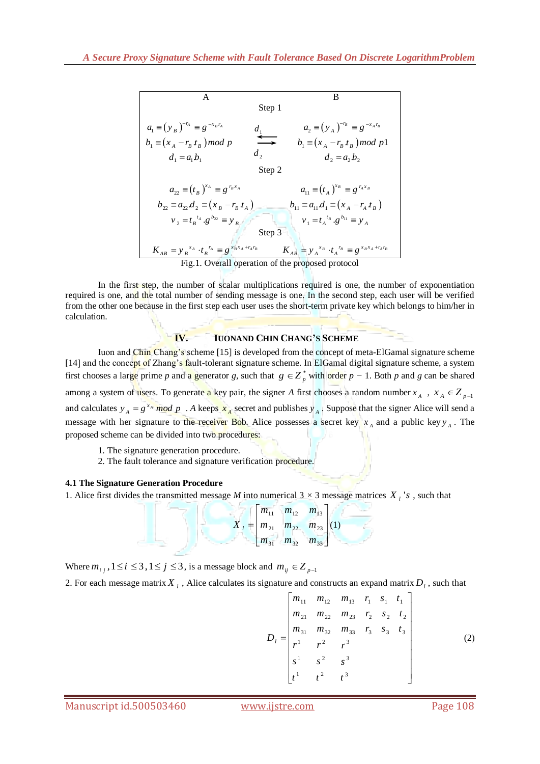A  
\nStep 1  
\n
$$
a_1 = (y_B)^{-r_A} = g^{-x_B r_A}
$$
  
\n $b_1 = (x_A - r_B t_B) \mod p$   
\n $d_1 = a_1 b_1$   
\n $d_2 = a_2 b_2$   
\n $b_2 = a_2 d_2 = (x_B - r_B t_A)$   
\n $b_3 = (x_A - r_B t_B) \mod p1$   
\n $d_2 = a_2 b_2$   
\n $b_4 = (t_A)^{x_B} = g^{r_A x_B}$   
\n $b_5 = (t_A)^{x_B} = g^{r_A x_B}$   
\n $b_{11} = a_{11} d_1 = (x_A - r_A t_B)$   
\n $b_{12} = a_{12} d_2 = (x_B - r_B t_A)$   
\n $b_{13} = a_{11} d_1 = (x_A - r_A t_B)$   
\n $b_{14} = a_{11} d_1 = (x_A - r_A t_B)$   
\n $b_{15} = a_{11} d_1 = (x_A - r_A t_B)$   
\n $b_{16} = a_{11} d_1 = (x_A - r_A t_B)$   
\n $b_{17} = a_{11} d_1 = (x_A - r_A t_B)$   
\n $b_{18} = y_A^{-x_B} \cdot t_A^{-x_B} = g^{x_B x_A + r_A r_B}$   
\n $b_{19} = a_{11} d_1$   
\n $b_{10} = a_{12} d_1$   
\n $b_{11} = a_{11} d_1 = (x_A - r_A t_B)$   
\n $b_{12} = a_{12} d_2$   
\n $b_{13} = a_{13} d_1$   
\n $b_{14} = a_{12} d_1$   
\n $b_{15} = a_{13} d_1$   
\n $b_{16} = a_{13} d_1$   
\n $b_{17} = a_{13} d_1$   
\n $b_{18} = a_{11} d_1$   
\n $b_{19} = a_{11} d_1$   
\n $b_{10} = a_{12} d_1$   
\n $b_{11} = a_{11} d$ 

In the first step, the number of scalar multiplications required is one, the number of exponentiation required is one, and the total number of sending message is one. In the second step, each user will be verified from the other one because in the first step each user uses the short-term private key which belongs to him/her in calculation.

#### **IV. IUONAND CHIN CHANG'S SCHEME**

Iuon and Chin Chang's scheme [15] is developed from the concept of meta-ElGamal signature scheme [14] and the concept of Zhang's fault-tolerant signature scheme. In ElGamal digital signature scheme, a system first chooses a large prime *p* and a generator *g*, such that  $g \in Z_p^*$  with order  $p-1$ . Both *p* and *g* can be shared among a system of users. To generate a key pair, the signer A first chooses a random number  $x_A$ ,  $x_A \in Z_{p-1}$ and calculates  $y_A = g^{x_A} \mod p$ . *A* keeps  $x_A$  secret and publishes  $y_A$ . Suppose that the signer Alice will send a message with her signature to the receiver Bob. Alice possesses a secret key  $x_A$  and a public key  $y_A$ . The proposed scheme can be divided into two procedures:

- 1. The signature generation procedure.
- 2. The fault tolerance and signature verification procedure.

#### **4.1 The Signature Generation Procedure**

1. Alice first divides the transmitted message *M* into numerical  $3 \times 3$  message matrices  $X_i$ 's, such that

$$
X_{l} = \begin{bmatrix} m_{11} & m_{12} & m_{13} \\ m_{21} & m_{22} & m_{23} \\ m_{31} & m_{32} & m_{33} \end{bmatrix} (1)
$$

Where  $m_{i,j}$ ,  $1 \le i \le 3$ ,  $1 \le j \le 3$ , is a message block and  $m_{ij} \in Z_{p-1}$ 

2. For each message matrix  $X_l$ , Alice calculates its signature and constructs an expand matrix  $D_l$ , such that  $\begin{bmatrix} m_{11} & m_{12} & m_{13} & r_1 & s_1 & t_1 \end{bmatrix}$ 

$$
D_{l} = \begin{bmatrix} m_{11} & m_{12} & m_{13} & r_1 & s_1 & t_1 \\ m_{21} & m_{22} & m_{23} & r_2 & s_2 & t_2 \\ m_{31} & m_{32} & m_{33} & r_3 & s_3 & t_3 \\ r^1 & r^2 & r^3 & & & \\ s^1 & s^2 & s^3 & & & \\ t^1 & t^2 & t^3 & & & \end{bmatrix}
$$
 (2)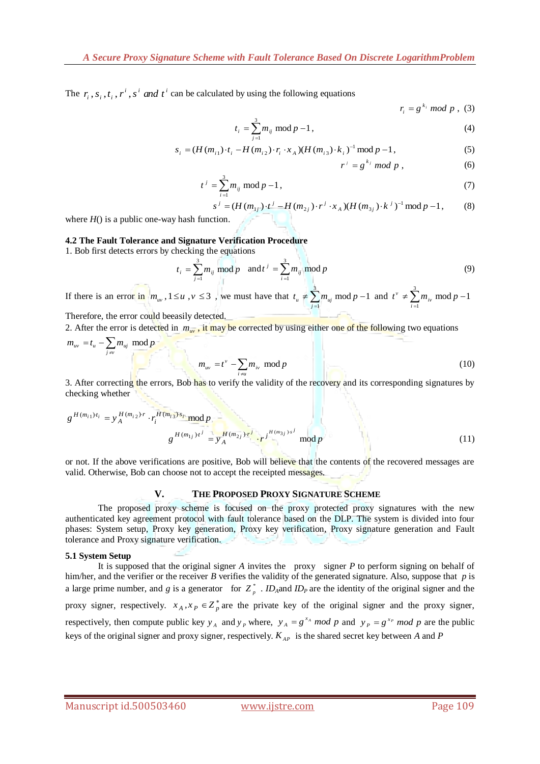The  $r_i$ ,  $s_i$ ,  $t_i$ ,  $r^i$ ,  $s^i$  *and*  $t^i$  can be calculated by using the following equations

$$
r_{i} = g^{k_{i}} \mod p , (3)
$$
  

$$
t_{i} = \sum_{j=1}^{3} m_{ij} \mod p - 1 ,
$$
 (4)

$$
t_i = \sum_{j=1}^{\infty} m_{ij} \mod p - 1,
$$
\n
$$
s_i = (H(m_{i1}) \cdot t_i - H(m_{i2}) \cdot r_i \cdot x_A)(H(m_{i3}) \cdot k_i)^{-1} \mod p - 1,
$$
\n(5)

$$
r^j = g^{k_j} \bmod p \tag{6}
$$

$$
t^{j} = \sum_{i=1}^{3} m_{ij} \mod p - 1,
$$
  
\n
$$
s^{j} = (H(m_{1j}) \cdot t^{j} - H(m_{2j}) \cdot r^{j} \cdot x_{A})(H(m_{3j}) \cdot k^{j})^{-1} \mod p - 1,
$$
\n(8)

$$
s^{j} = (H(m_{1j}) \cdot t^{j} - H(m_{2j}) \cdot r^{j} \cdot x_{A})(H(m_{3j}) \cdot k^{j})^{-1} \mod p - 1,
$$
 (8)

where  $H()$  is a public one-way hash function.

#### **4.2 The Fault Tolerance and Signature Verification Procedure**

1. Bob first detects errors by checking the equations

$$
t_i = \sum_{j=1}^{3} m_{ij} \bmod p \quad \text{and} \quad t^j = \sum_{i=1}^{3} m_{ij} \bmod p \tag{9}
$$

If there is an error in  $m_w$ ,  $1 \le u$ ,  $v \le 3$ , we must have that  $t_u \ne \sum_{i=1}^{3}$  $t_u \neq \sum_{j=1}^{3} m_{uj} \text{ mod } p - 1 \text{ and } t^{\nu} \neq \sum_{i=1}^{3}$ 1  $w \neq \sum_{i=1}^{v} m_{iv} \mod p-1$  $t^v \neq \sum m_{iv} \mod p$  $\neq \sum_{i=1}^{5} m_{iv} \mod p-1$ 

Therefore, the error could beeasily detected.

2. After the error is detected in  $m_{uv}$ , it may be corrected by using either one of the following two equations

$$
m_{uv} = t_u - \sum_{j \neq v} m_{uj} \mod p
$$
  

$$
m_{uv} = t^{\nu} - \sum_{i \neq u} m_{iv} \mod p
$$
 (10)

3. After correcting the errors, Bob has to verify the validity of the recovery and its corresponding signatures by checking whether

$$
g^{H(m_{i1})t_i} = y_A^{H(m_{i2})\cdot r} \cdot r_i^{H(m_{i3}) \cdot s_i} \mod p
$$
  

$$
g^{H(m_{1j})t^j} = y_A^{H(m_{2j}) \cdot r^j} \cdot r_j^{H(m_{3j}) \cdot s^j} \mod p
$$
  
(11)

or not. If the above verifications are positive, Bob will believe that the contents of the recovered messages are valid. Otherwise, Bob can choose not to accept the receipted messages.

# **V. THE PROPOSED PROXY SIGNATURE SCHEME**

The proposed proxy scheme is focused on the proxy protected proxy signatures with the new authenticated key agreement protocol with fault tolerance based on the DLP. The system is divided into four phases: System setup, Proxy key generation, Proxy key verification, Proxy signature generation and Fault tolerance and Proxy signature verification.

#### **5.1 System Setup**

It is supposed that the original signer *A* invites the proxy signer *P* to perform signing on behalf of him/her, and the verifier or the receiver *B* verifies the validity of the generated signature. Also, suppose that *p* is a large prime number, and *g* is a generator for  $Z_p^*$ . *ID*<sub>*A*</sub>and *ID<sub>P</sub>* are the identity of the original signer and the proxy signer, respectively.  $x_A, x_B \in Z_p^*$  are the private key of the original signer and the proxy signer, respectively, then compute public key  $y_A$  and  $y_p$  where,  $y_A = g^{x_A} \mod p$  and  $y_p = g^{x_p} \mod p$  are the public keys of the original signer and proxy signer, respectively. *KAP* is the shared secret key between *A* and *P*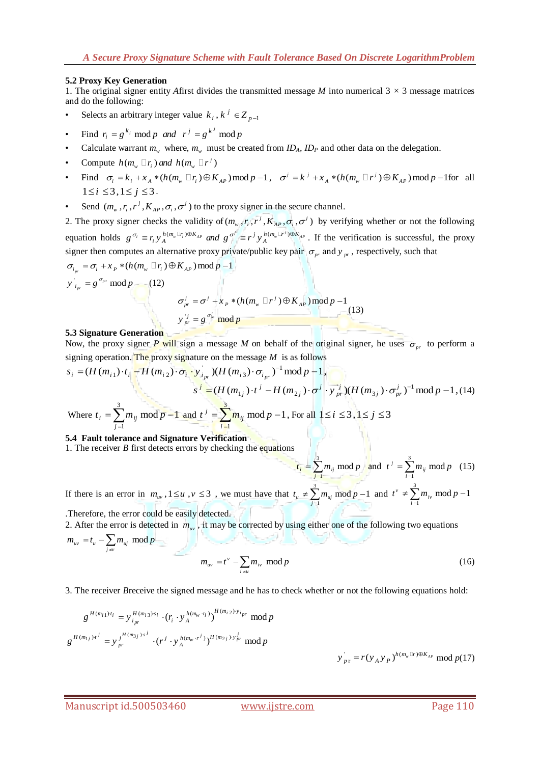### **5.2 Proxy Key Generation**

1. The original signer entity *A*first divides the transmitted message *M* into numerical  $3 \times 3$  message matrices and do the following:

- Selects an arbitrary integer value  $k_i$ ,  $k^j \in Z_{p-1}$
- Find  $r_i = g^{k_i} \mod p$  *and*  $r^j = g^{k^j} \mod p$
- Calculate warrant  $m_w$  where,  $m_w$  must be created from  $ID_A$ ,  $ID_P$  and other data on the delegation.
- Compute  $h(m_w \Box r_i)$  and  $h(m_w \Box r^i)$
- Compute  $h(m_w \sqcup r_i)$  and  $h(m_w \sqcup r')$ <br>• Find  $\sigma_i = k_i + x_A * (h(m_w \sqcup r_i) \oplus K_{AP}) \mod p 1$ ,  $\sigma^j = k^j + x_A * (h(m_w \sqcup r^j) \oplus K_{AP}) \mod p 1$  for all  $1 \le i \le 3, 1 \le j \le 3$ .
- Send  $(m_w, r_i, r^j, K_{AP}, \sigma_i, \sigma^j)$  to the proxy signer in the secure channel.

2. The proxy signer checks the validity of  $(m_w, r_i, r^j, K_{AP}, \sigma_i, \sigma^i)$  by verifying whether or not the following 2. The proxy signer checks the validity of  $(m_w, r_i, r', K_{AP}, \sigma_i, \sigma')$  by verifying whether or not the following equation holds  $g^{\sigma_i} \equiv r_i y_A^{h(m_w \Box r) \oplus K_{AP}}$  *and*  $g^{\sigma'} \equiv r^j y_A^{h(m_w \Box r') \oplus K_{AP}}$ . If the verification is successfu signer then computes an alternative proxy private/public key pair  $\sigma_{pr}$  and  $y_{pr}$ , respectively, such that signer then computes an alternative proxy private<br> $\sigma_{i_{pr}} = \sigma_i + x_p * (h(m_w \Box r_i) \oplus K_{AP}) \mod p - 1$ 

$$
y'_{i_{pr}} = g^{\sigma_{pr}} \mod p \qquad (12)
$$

$$
\sigma_{pr}^{j} = \sigma^{j} + x_{p} * (h(m_{w} \Box r^{j}) \oplus K_{AP}) \mod p - 1
$$

$$
y'^{j}_{pr} = g^{\sigma_{pr}^{j}} \mod p \qquad (13)
$$

#### **5.3 Signature Generation**

Now, the proxy signer *P* will sign a message *M* on behalf of the original signer, he uses  $\sigma_{pr}$  to perform a signing operation. The proxy signature on the message *M* is as follows  $s_i = (H(m_{i1}) \cdot t_i - H(m_{i2}) \cdot \sigma_i \cdot y_i)_p (H(m$ signing operation. The proxy signature on the message *M* is as follows  $s_i = (H(m_{i1}) \cdot t_i - H(m_{i2}) \cdot \sigma_i \cdot y_i) (H(m_{i3}) \cdot \sigma_i)^{-1} \mod p - 1$ . Now, the proxy signer *P* will sign a message *M* on behalf of the ori<br>signing operation. The proxy signature on the message *M* is as follows<br> $s_i = (H(m_{i1}) \cdot t_i - H(m_{i2}) \cdot \sigma_i \cdot y_i) / H(m_{i3}) \cdot \sigma_{i_{pr}})^{-1} \text{ mod } p - 1$ ,

sigining operation. The proxy signature of the message *M* is as follows  
\n
$$
s_i = (H(m_{i1}) \cdot t_i - H(m_{i2}) \cdot \sigma_i \cdot y_{i_{pr}}) (H(m_{i3}) \cdot \sigma_{i_{pr}})^{-1} \mod p - 1,
$$
\n
$$
s^j = (H(m_{1j}) \cdot t^j - H(m_{2j}) \cdot \sigma^j \cdot y_{pr}^j) (H(m_{3j}) \cdot \sigma_{pr}^j)^{-1} \mod p - 1,
$$
\nwhere  $t_i = \sum_{j=1}^3 m_{ij} \mod p - 1$  and  $t^j = \sum_{i=1}^3 m_{ij} \mod p - 1$ , For all  $1 \le i \le 3, 1 \le j \le 3$ 

**5.4 Fault tolerance and Signature Verification**

1. The receiver *B* first detects errors by checking the equations

$$
t_i = \sum_{j=1}^{3} m_{ij} \mod p
$$
 and  $t^j = \sum_{i=1}^{3} m_{ij} \mod p$  (15)

If there is an error in  $m_{uv}$ ,  $1 \le u$ ,  $v \le 3$ , we must have that  $t_u \ne \sum_{i=1}^{3}$  $t_u \neq \sum_{j=1}^{3} m_{uj} \mod p - 1 \text{ and } t^{\nu} \neq \sum_{i=1}^{3}$ 1  $w \neq \sum_{i=1}^{v} m_{iv} \mod p-1$  $t^v \neq \sum m_{iv} \mod p$  $\neq \sum_{i=1}^{5} m_{iv} \mod p-1$ 

.Therefore, the error could be easily detected.

2. After the error is detected in  $m_w$ , it may be corrected by using either one of the following two equations  $v_{uv} = t_u - \sum_{j \neq v} m_{uj}$  mod  $m_{uv} = t_u - \sum_{j \neq v} m_{uj} \mod p$ 

$$
m_{uv} = t^{\nu} - \sum_{i \neq u} m_{iv} \mod p \tag{16}
$$

3. The receiver *B*receive the signed message and he has to check whether or not the following equations hold:

$$
g^{H(m_{i1})t_i} = y_{i_{pr}}^{H(m_{i3})s_i} \cdot (r_i \cdot y_A^{h(m_w \cdot r_i)})^{H(m_{i2}) \cdot y_{i_{pr}}} \mod p
$$
\n
$$
g^{H(m_{1j})t^j} = y_{pr}^{j^{H(m_{3j})s^j}} \cdot (r^j \cdot y_A^{h(m_w \cdot r^j)})^{H(m_{2j}) \cdot y_{pr}^j} \mod p
$$
\n
$$
y_{pr}^{'} = r(y_A y_P)^{h(m_w \Box r) \oplus K_{AP}} \mod p
$$
\n(17)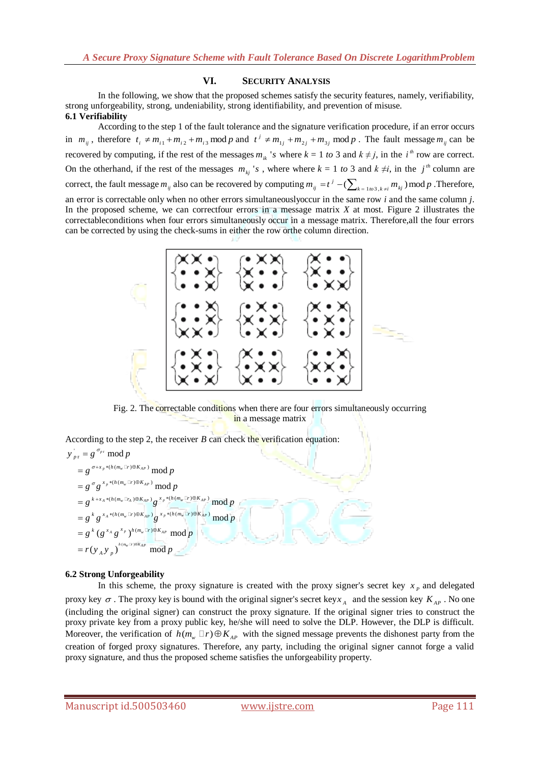## **VI. SECURITY ANALYSIS**

In the following, we show that the proposed schemes satisfy the security features, namely, verifiability, strong unforgeability, strong, undeniability, strong identifiability, and prevention of misuse. **6.1 Verifiability** 

According to the step 1 of the fault tolerance and the signature verification procedure, if an error occurs in  $m_{ij}$ , therefore  $t_i \neq m_{i1} + m_{i2} + m_{i3}$  mod *p* and  $t^j \neq m_{1j} + m_{2j} + m_{3j}$  mod *p*. The fault message  $m_{ij}$  can be recovered by computing, if the rest of the messages  $m_{ik}$  's where  $k = 1$  to 3 and  $k \neq j$ , in the  $i^{th}$  row are correct. On the otherhand, if the rest of the messages  $m_{kj}$  's, where where  $k = 1$  to 3 and  $k \neq i$ , in the  $j^{th}$  column are correct, the fault message  $m_{ij}$  also can be recovered by computing  $m_{ij} = t^j - (\sum_{k=1\omega^3, k\neq i} m_{kj}) \mod p$ . Therefore, an error is correctable only when no other errors simultaneouslyoccur in the same row *i* and the same column *j*. In the proposed scheme, we can correctfour errors in a message matrix *X* at most. Figure 2 illustrates the correctableconditions when four errors simultaneously occur in a message matrix. Therefore,all the four errors can be corrected by using the check-sums in either the row orthe column direction.



Fig. 2. The correctable conditions when there are four errors simultaneously occurring in a message matrix

According to the step 2, the receiver *B* can check the verification equation:<br> $y_{pr} = g^{\sigma_{pr}}$  mod *p* 

$$
y'_{pr} = g^{\sigma_{pr}} \mod p
$$
  
\n
$$
= g^{\sigma_{\pm x_p} * (h(m_w \Box r) \oplus K_{AP})} \mod p
$$
  
\n
$$
= g^{\sigma} g^{x_p * (h(m_w \Box r) \oplus K_{AP})} \mod p
$$
  
\n
$$
= g^{k + x_A * (h(m_w \Box r_A) \oplus K_{AP})} g^{x_p * (h(m_w \Box r) \oplus K_{AP})} \mod p
$$
  
\n
$$
= g^k g^{x_A * (h(m_w \Box r) \oplus K_{AP})} g^{x_p * (h(m_w \Box r) \oplus K_{AP})} \mod p
$$
  
\n
$$
= g^k (g^{x_A} g^{x_p})^{h(m_w \Box r) \oplus K_{AP}} \mod p
$$
  
\n
$$
= r(y_A y_p)^{h(m_w \Box r) \oplus K_{AP}} \mod p
$$

# **6.2 Strong Unforgeability**

In this scheme, the proxy signature is created with the proxy signer's secret key  $x<sub>p</sub>$  and delegated proxy key  $\sigma$ . The proxy key is bound with the original signer's secret key  $x_A$  and the session key  $K_{AP}$ . No one (including the original signer) can construct the proxy signature. If the original signer tries to construct the proxy private key from a proxy public key, he/she will need to solve the DLP. However, the DLP is difficult. Moreover, the verification of  $h(m_w \Box r) \oplus K_{AP}$  with the signed message prevents the dishonest party from the creation of forged proxy signatures. Therefore, any party, including the original signer cannot forge a valid proxy signature, and thus the proposed scheme satisfies the unforgeability property.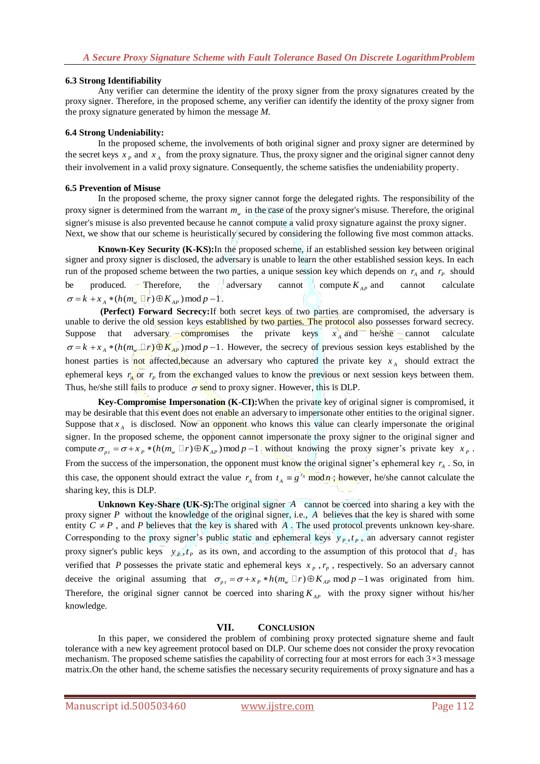## **6.3 Strong Identifiability**

Any verifier can determine the identity of the proxy signer from the proxy signatures created by the proxy signer. Therefore, in the proposed scheme, any verifier can identify the identity of the proxy signer from the proxy signature generated by himon the message *M.*

## **6.4 Strong Undeniability:**

In the proposed scheme, the involvements of both original signer and proxy signer are determined by the secret keys  $x_p$  and  $x_A$  from the proxy signature. Thus, the proxy signer and the original signer cannot deny their involvement in a valid proxy signature. Consequently, the scheme satisfies the undeniability property.

### **6.5 Prevention of Misuse**

In the proposed scheme, the proxy signer cannot forge the delegated rights. The responsibility of the proxy signer is determined from the warrant  $m_w$  in the case of the proxy signer's misuse. Therefore, the original signer's misuse is also prevented because he cannot compute a valid proxy signature against the proxy signer. Next, we show that our scheme is heuristically secured by considering the following five most common attacks.

**Known-Key Security (K-KS):**In the proposed scheme, if an established session key between original signer and proxy signer is disclosed, the adversary is unable to learn the other established session keys. In each run of the proposed scheme between the two parties, a unique session key which depends on  $r_A$  and  $r_P$  should be produced. Therefore, the adversary cannot compute  $K_{AP}$  and cannot calculate  $\sigma = k + x_A * (h(m_w \Box r) \oplus K_{AP}) \bmod p - 1$ .

**(Perfect) Forward Secrecy:**If both secret keys of two parties are compromised, the adversary is unable to derive the old session keys established by two parties. The protocol also possesses forward secrecy. Suppose that adversary compromises the private keys  $x_A$  and he/she cannot calculate Suppose that adversary compromises the private keys  $x_A$  and he/she cannot calculate  $\sigma = k + x_A * (h(m_w \Box r) \oplus K_{AP}) \mod p - 1$ . However, the secrecy of previous session keys established by the honest parties is not affected, because an adversary who captured the private key  $x_A$  should extract the ephemeral keys  $r_A$  or  $r_P$  from the exchanged values to know the previous or next session keys between them. Thus, he/she still fails to produce  $\sigma$  send to proxy signer. However, this is DLP.

**Key-Compromise Impersonation (K-CI):**When the private key of original signer is compromised, it may be desirable that this event does not enable an adversary to impersonate other entities to the original signer. Suppose that  $x_A$  is disclosed. Now an opponent who knows this value can clearly impersonate the original signer. In the proposed scheme, the opponent cannot impersonate the proxy signer to the original signer and compute  $\sigma_{pr} = \sigma + x_p * (h(m_w \Box r) \oplus K_{AP}) \mod p - 1$  without knowing the proxy signer's private key  $x_p$ . compute  $\sigma_{pr} = \sigma + x_p * (h(m_w \Box r) \oplus K_{AP}) \mod p - 1$  without knowing the proxy signer's private key  $x_p$ . From the success of the impersonation, the opponent must know the original signer's ephemeral key  $r_A$ . So, in this case, the opponent should extract the value  $r_A$  from  $t_A \equiv g^{r_A} \mod n$ ; however, he/she cannot calculate the sharing key, this is DLP.

**Unknown Key-Share (UK-S):** The original signer A cannot be coerced into sharing a key with the proxy signer P without the knowledge of the original signer, i.e., A believes that the key is shared with some entity  $C \neq P$ , and *P* believes that the key is shared with A. The used protocol prevents unknown key-share. Corresponding to the proxy signer's public static and ephemeral keys  $y_p$ ,  $t_p$ , an adversary cannot register proxy signer's public keys  $y_p, t_p$  as its own, and according to the assumption of this protocol that  $d_2$  has verified that P possesses the private static and ephemeral keys  $x_p$ ,  $r_p$ , respectively. So an adversary cannot verified that *P* possesses the private static and ephemeral keys  $x_p$ ,  $r_p$ , respectively. So an adversary cannot deceive the original assuming that  $\sigma_{p\text{r}} = \sigma + x_p * h(m_w \Box r) \oplus K_{AP} \text{ mod } p-1$  was originated from him. Therefore, the original signer cannot be coerced into sharing  $K_{AP}$  with the proxy signer without his/her knowledge.

# **VII. CONCLUSION**

In this paper, we considered the problem of combining proxy protected signature sheme and fault tolerance with a new key agreement protocol based on DLP. Our scheme does not consider the proxy revocation mechanism. The proposed scheme satisfies the capability of correcting four at most errors for each 3*×*3 message matrix.On the other hand, the scheme satisfies the necessary security requirements of proxy signature and has a